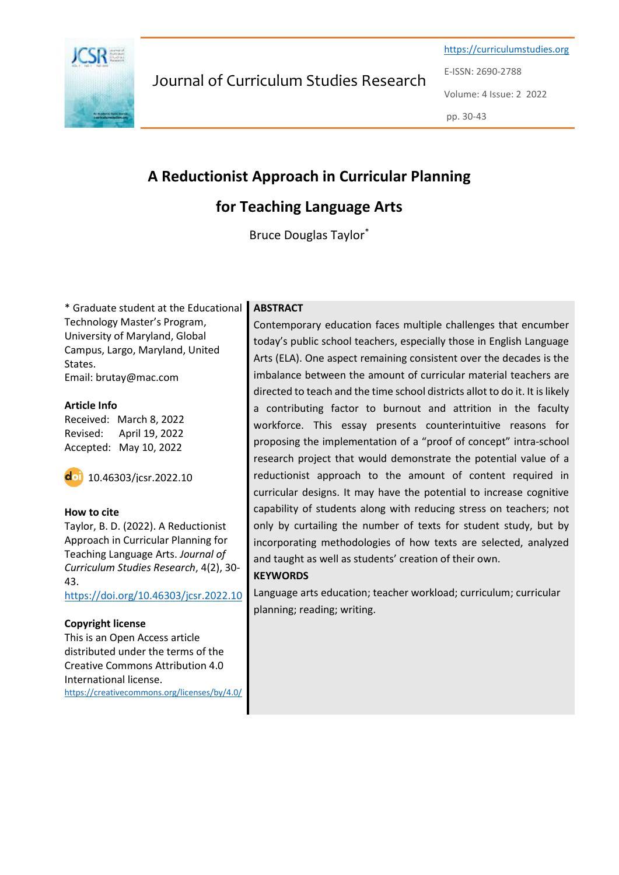

Journal of Curriculum Studies Research

[https://curriculumstudies.org](https://curriculumstudies.org/) E-ISSN: 2690-2788 Volume: 4 Issue: 2 2022 pp. 30-43

# **A Reductionist Approach in Curricular Planning**

## **for Teaching Language Arts**

Bruce Douglas Taylor\*

\* Graduate student at the Educational Technology Master's Program, University of Maryland, Global Campus, Largo, Maryland, United States. Email: brutay@mac.com

# **Article Info**

Received: March 8, 2022 Revised: April 19, 2022 Accepted: May 10, 2022

 $\overline{d}$  10.46303/jcsr.2022.10

### **How to cite**

Taylor, B. D. (2022). A Reductionist Approach in Curricular Planning for Teaching Language Arts. *Journal of Curriculum Studies Research*, 4(2), 30- 43.

<https://doi.org/10.46303/jcsr.2022.10>

### **Copyright license**

This is an Open Access article distributed under the terms of the Creative Commons Attribution 4.0 International license. <https://creativecommons.org/licenses/by/4.0/>

### **ABSTRACT**

Contemporary education faces multiple challenges that encumber today's public school teachers, especially those in English Language Arts (ELA). One aspect remaining consistent over the decades is the imbalance between the amount of curricular material teachers are directed to teach and the time school districts allot to do it. It is likely a contributing factor to burnout and attrition in the faculty workforce. This essay presents counterintuitive reasons for proposing the implementation of a "proof of concept" intra-school research project that would demonstrate the potential value of a reductionist approach to the amount of content required in curricular designs. It may have the potential to increase cognitive capability of students along with reducing stress on teachers; not only by curtailing the number of texts for student study, but by incorporating methodologies of how texts are selected, analyzed and taught as well as students' creation of their own.

### **KEYWORDS**

Language arts education; teacher workload; curriculum; curricular planning; reading; writing.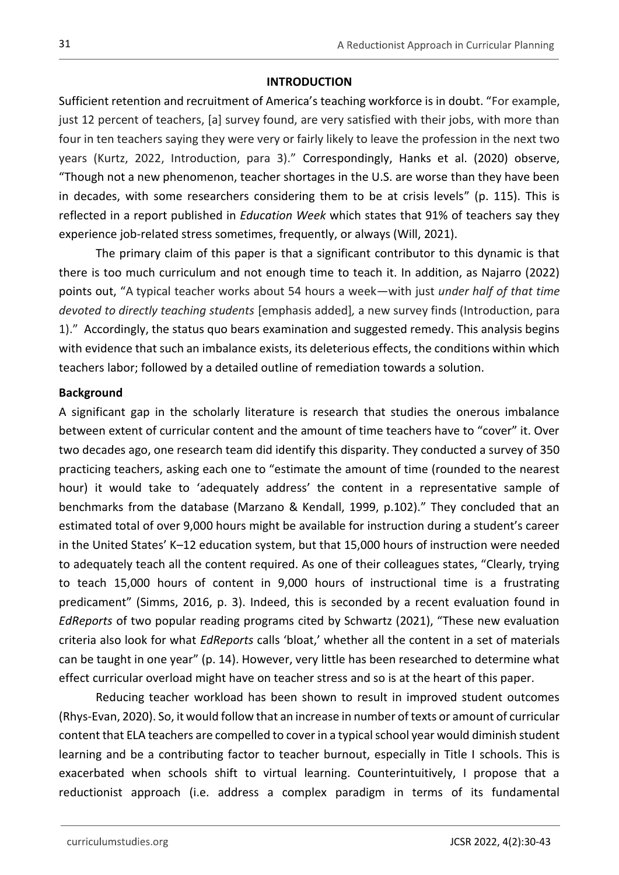## **INTRODUCTION**

Sufficient retention and recruitment of America's teaching workforce is in doubt. "For example, just 12 percent of teachers, [a] survey found, are very satisfied with their jobs, with more than four in ten teachers saying they were very or fairly likely to leave the profession in the next two years (Kurtz, 2022, Introduction, para 3)." Correspondingly, Hanks et al. (2020) observe, "Though not a new phenomenon, teacher shortages in the U.S. are worse than they have been in decades, with some researchers considering them to be at crisis levels" (p. 115). This is reflected in a report published in *Education Week* which states that 91% of teachers say they experience job-related stress sometimes, frequently, or always (Will, 2021).

The primary claim of this paper is that a significant contributor to this dynamic is that there is too much curriculum and not enough time to teach it. In addition, as Najarro (2022) points out, "A typical teacher works about 54 hours a week—with just *under half of that time devoted to directly teaching students* [emphasis added]*,* a new survey finds (Introduction, para 1)." Accordingly, the status quo bears examination and suggested remedy. This analysis begins with evidence that such an imbalance exists, its deleterious effects, the conditions within which teachers labor; followed by a detailed outline of remediation towards a solution.

## **Background**

A significant gap in the scholarly literature is research that studies the onerous imbalance between extent of curricular content and the amount of time teachers have to "cover" it. Over two decades ago, one research team did identify this disparity. They conducted a survey of 350 practicing teachers, asking each one to "estimate the amount of time (rounded to the nearest hour) it would take to 'adequately address' the content in a representative sample of benchmarks from the database (Marzano & Kendall, 1999, p.102)." They concluded that an estimated total of over 9,000 hours might be available for instruction during a student's career in the United States' K–12 education system, but that 15,000 hours of instruction were needed to adequately teach all the content required. As one of their colleagues states, "Clearly, trying to teach 15,000 hours of content in 9,000 hours of instructional time is a frustrating predicament" (Simms, 2016, p. 3). Indeed, this is seconded by a recent evaluation found in *EdReports* of two popular reading programs cited by Schwartz (2021), "These new evaluation criteria also look for what *EdReports* calls 'bloat,' whether all the content in a set of materials can be taught in one year" (p. 14). However, very little has been researched to determine what effect curricular overload might have on teacher stress and so is at the heart of this paper.

Reducing teacher workload has been shown to result in improved student outcomes (Rhys-Evan, 2020). So, it would follow that an increase in number of texts or amount of curricular content that ELA teachers are compelled to cover in a typical school year would diminish student learning and be a contributing factor to teacher burnout, especially in Title I schools. This is exacerbated when schools shift to virtual learning. Counterintuitively, I propose that a reductionist approach (i.e. address a complex paradigm in terms of its fundamental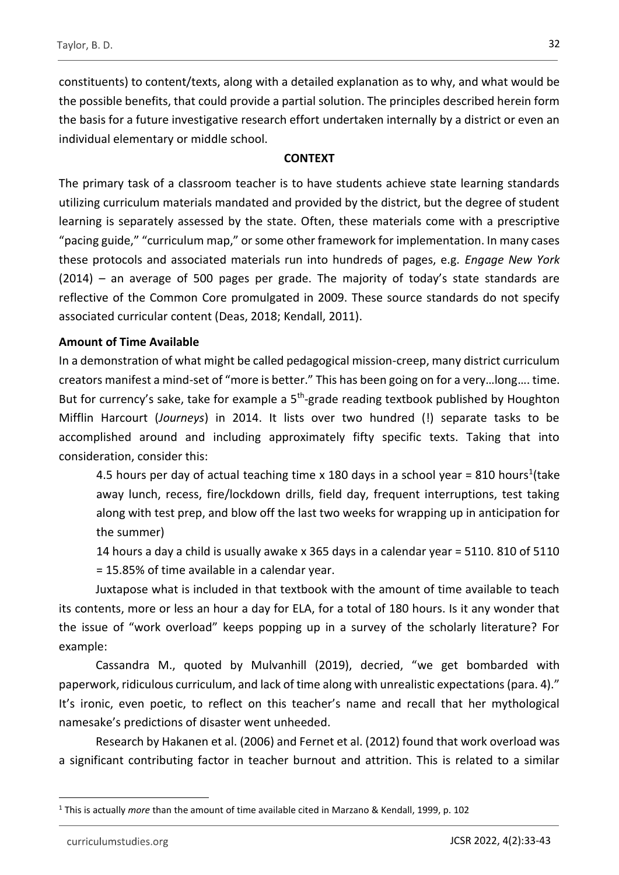constituents) to content/texts, along with a detailed explanation as to why, and what would be the possible benefits, that could provide a partial solution. The principles described herein form the basis for a future investigative research effort undertaken internally by a district or even an individual elementary or middle school.

## **CONTEXT**

The primary task of a classroom teacher is to have students achieve state learning standards utilizing curriculum materials mandated and provided by the district, but the degree of student learning is separately assessed by the state. Often, these materials come with a prescriptive "pacing guide," "curriculum map," or some other framework for implementation. In many cases these protocols and associated materials run into hundreds of pages, e.g. *Engage New York*  (2014) *–* an average of 500 pages per grade. The majority of today's state standards are reflective of the Common Core promulgated in 2009. These source standards do not specify associated curricular content (Deas, 2018; Kendall, 2011).

## **Amount of Time Available**

In a demonstration of what might be called pedagogical mission-creep, many district curriculum creators manifest a mind-set of "more is better." This has been going on for a very…long…. time. But for currency's sake, take for example a 5<sup>th</sup>-grade reading textbook published by Houghton Mifflin Harcourt (*Journeys*) in 2014. It lists over two hundred (!) separate tasks to be accomplished around and including approximately fifty specific texts. Taking that into consideration, consider this:

4.5 hours per day of actual teaching time x 180 days in a school year = 810 hours<sup>1</sup>(take away lunch, recess, fire/lockdown drills, field day, frequent interruptions, test taking along with test prep, and blow off the last two weeks for wrapping up in anticipation for the summer)

14 hours a day a child is usually awake x 365 days in a calendar year = 5110. 810 of 5110 = 15.85% of time available in a calendar year.

Juxtapose what is included in that textbook with the amount of time available to teach its contents, more or less an hour a day for ELA, for a total of 180 hours. Is it any wonder that the issue of "work overload" keeps popping up in a survey of the scholarly literature? For example:

Cassandra M., quoted by Mulvanhill (2019), decried, "we get bombarded with paperwork, ridiculous curriculum, and lack of time along with unrealistic expectations (para. 4)." It's ironic, even poetic, to reflect on this teacher's name and recall that her mythological namesake's predictions of disaster went unheeded.

Research by Hakanen et al. (2006) and Fernet et al. (2012) found that work overload was a significant contributing factor in teacher burnout and attrition. This is related to a similar

32

<sup>1</sup> This is actually *more* than the amount of time available cited in Marzano & Kendall, 1999, p. 102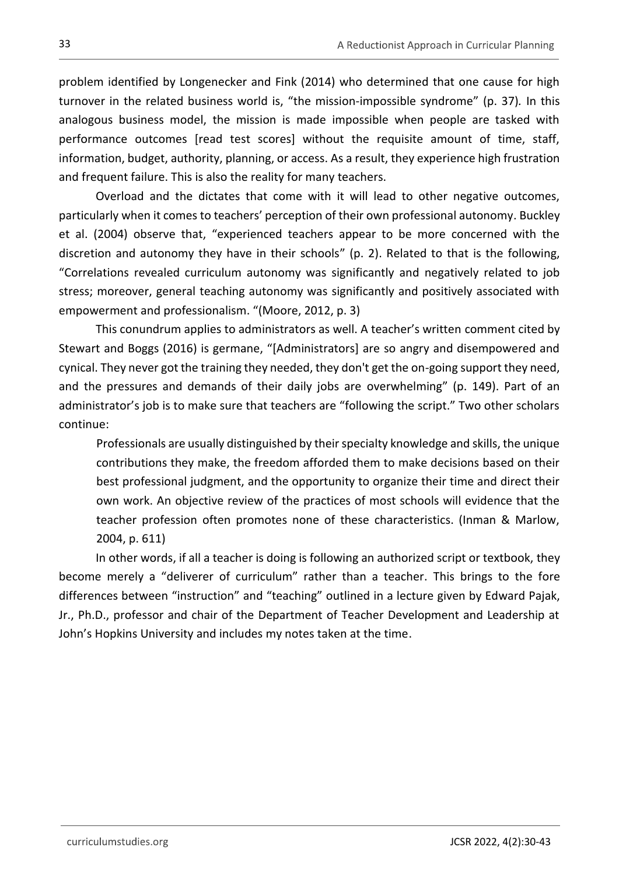problem identified by Longenecker and Fink (2014) who determined that one cause for high turnover in the related business world is, "the mission-impossible syndrome" (p. 37)*.* In this analogous business model, the mission is made impossible when people are tasked with performance outcomes [read test scores] without the requisite amount of time, staff, information, budget, authority, planning, or access. As a result, they experience high frustration and frequent failure. This is also the reality for many teachers.

Overload and the dictates that come with it will lead to other negative outcomes, particularly when it comes to teachers' perception of their own professional autonomy. Buckley et al. (2004) observe that, "experienced teachers appear to be more concerned with the discretion and autonomy they have in their schools" (p. 2). Related to that is the following, "Correlations revealed curriculum autonomy was significantly and negatively related to job stress; moreover, general teaching autonomy was significantly and positively associated with empowerment and professionalism. "(Moore, 2012, p. 3)

This conundrum applies to administrators as well. A teacher's written comment cited by Stewart and Boggs (2016) is germane, "[Administrators] are so angry and disempowered and cynical. They never got the training they needed, they don't get the on-going support they need, and the pressures and demands of their daily jobs are overwhelming" (p. 149). Part of an administrator's job is to make sure that teachers are "following the script." Two other scholars continue:

Professionals are usually distinguished by their specialty knowledge and skills, the unique contributions they make, the freedom afforded them to make decisions based on their best professional judgment, and the opportunity to organize their time and direct their own work. An objective review of the practices of most schools will evidence that the teacher profession often promotes none of these characteristics. (Inman & Marlow, 2004, p. 611)

In other words, if all a teacher is doing is following an authorized script or textbook, they become merely a "deliverer of curriculum" rather than a teacher. This brings to the fore differences between "instruction" and "teaching" outlined in a lecture given by Edward Pajak, Jr., Ph.D., professor and chair of the Department of Teacher Development and Leadership at John's Hopkins University and includes my notes taken at the time.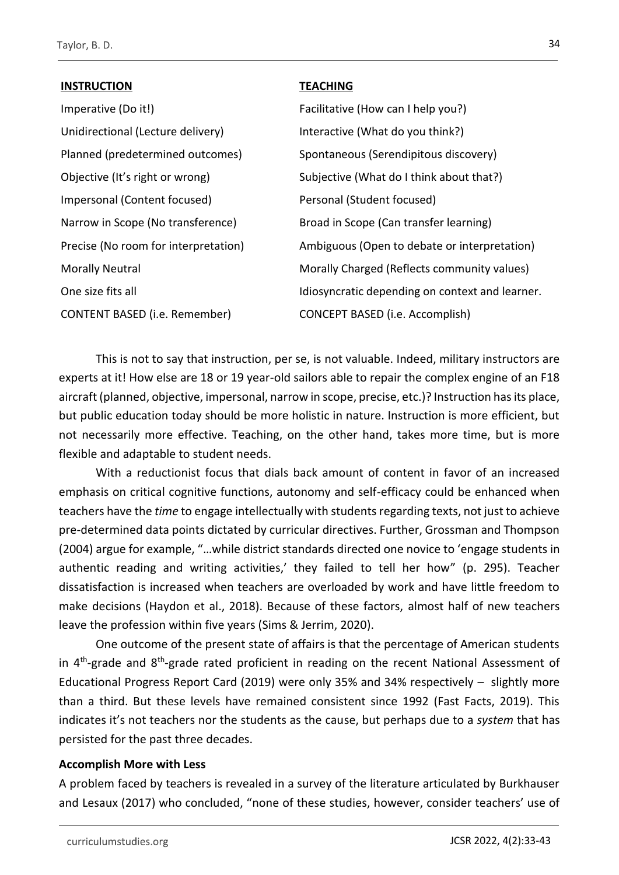## **INSTRUCTION**

Imperative (Do it!) Unidirectional (Lecture delivery) Planned (predetermined outcomes) Objective (It's right or wrong) Impersonal (Content focused) Narrow in Scope (No transference) Precise (No room for interpretation) Morally Neutral One size fits all CONTENT BASED (i.e. Remember)

## **TEACHING**

Facilitative (How can I help you?) Interactive (What do you think?) Spontaneous (Serendipitous discovery) Subjective (What do I think about that?) Personal (Student focused) Broad in Scope (Can transfer learning) Ambiguous (Open to debate or interpretation) Morally Charged (Reflects community values) Idiosyncratic depending on context and learner. CONCEPT BASED (i.e. Accomplish)

This is not to say that instruction, per se, is not valuable. Indeed, military instructors are experts at it! How else are 18 or 19 year-old sailors able to repair the complex engine of an F18 aircraft (planned, objective, impersonal, narrow in scope, precise, etc.)? Instruction has its place, but public education today should be more holistic in nature. Instruction is more efficient, but not necessarily more effective. Teaching, on the other hand, takes more time, but is more flexible and adaptable to student needs.

With a reductionist focus that dials back amount of content in favor of an increased emphasis on critical cognitive functions, autonomy and self-efficacy could be enhanced when teachers have the *time* to engage intellectually with students regarding texts, not just to achieve pre-determined data points dictated by curricular directives. Further, Grossman and Thompson (2004) argue for example, "…while district standards directed one novice to 'engage students in authentic reading and writing activities,' they failed to tell her how" (p. 295). Teacher dissatisfaction is increased when teachers are overloaded by work and have little freedom to make decisions (Haydon et al., 2018). Because of these factors, almost half of new teachers leave the profession within five years (Sims & Jerrim, 2020).

One outcome of the present state of affairs is that the percentage of American students in 4<sup>th</sup>-grade and 8<sup>th</sup>-grade rated proficient in reading on the recent National Assessment of Educational Progress Report Card (2019) were only 35% and 34% respectively – slightly more than a third. But these levels have remained consistent since 1992 (Fast Facts, 2019). This indicates it's not teachers nor the students as the cause, but perhaps due to a *system* that has persisted for the past three decades.

## **Accomplish More with Less**

A problem faced by teachers is revealed in a survey of the literature articulated by Burkhauser and Lesaux (2017) who concluded, "none of these studies, however, consider teachers' use of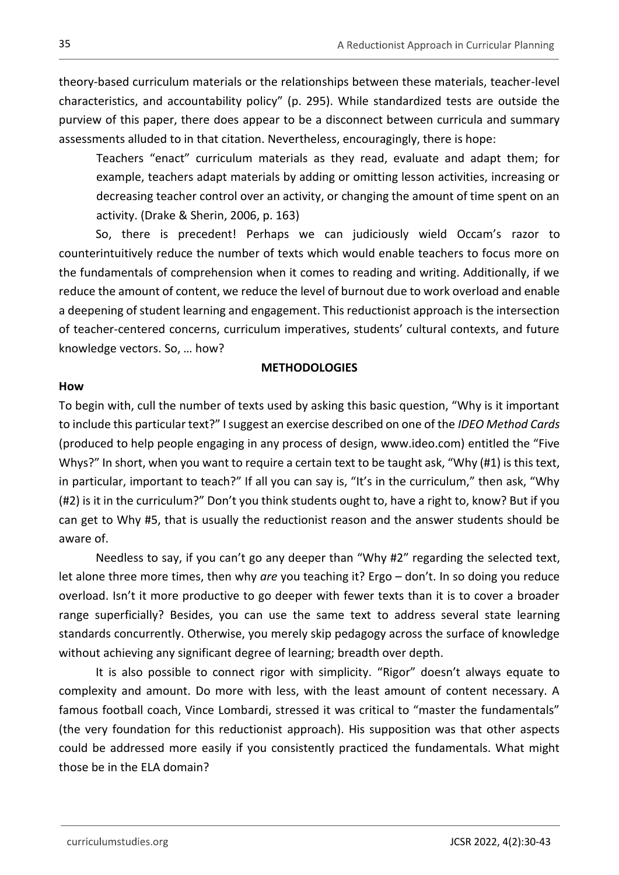theory-based curriculum materials or the relationships between these materials, teacher-level characteristics, and accountability policy" (p. 295). While standardized tests are outside the purview of this paper, there does appear to be a disconnect between curricula and summary assessments alluded to in that citation. Nevertheless, encouragingly, there is hope:

Teachers "enact" curriculum materials as they read, evaluate and adapt them; for example, teachers adapt materials by adding or omitting lesson activities, increasing or decreasing teacher control over an activity, or changing the amount of time spent on an activity. (Drake & Sherin, 2006, p. 163)

So, there is precedent! Perhaps we can judiciously wield Occam's razor to counterintuitively reduce the number of texts which would enable teachers to focus more on the fundamentals of comprehension when it comes to reading and writing. Additionally, if we reduce the amount of content, we reduce the level of burnout due to work overload and enable a deepening of student learning and engagement. This reductionist approach is the intersection of teacher-centered concerns, curriculum imperatives, students' cultural contexts, and future knowledge vectors. So, … how?

## **METHODOLOGIES**

### **How**

To begin with, cull the number of texts used by asking this basic question, "Why is it important to include this particular text?" I suggest an exercise described on one of the *IDEO Method Cards* (produced to help people engaging in any process of design, www.ideo.com) entitled the "Five Whys?" In short, when you want to require a certain text to be taught ask, "Why (#1) is this text, in particular, important to teach?" If all you can say is, "It's in the curriculum," then ask, "Why (#2) is it in the curriculum?" Don't you think students ought to, have a right to, know? But if you can get to Why #5, that is usually the reductionist reason and the answer students should be aware of.

Needless to say, if you can't go any deeper than "Why #2" regarding the selected text, let alone three more times, then why *are* you teaching it? Ergo – don't. In so doing you reduce overload. Isn't it more productive to go deeper with fewer texts than it is to cover a broader range superficially? Besides, you can use the same text to address several state learning standards concurrently. Otherwise, you merely skip pedagogy across the surface of knowledge without achieving any significant degree of learning; breadth over depth.

It is also possible to connect rigor with simplicity. "Rigor" doesn't always equate to complexity and amount. Do more with less, with the least amount of content necessary. A famous football coach, Vince Lombardi, stressed it was critical to "master the fundamentals" (the very foundation for this reductionist approach). His supposition was that other aspects could be addressed more easily if you consistently practiced the fundamentals. What might those be in the ELA domain?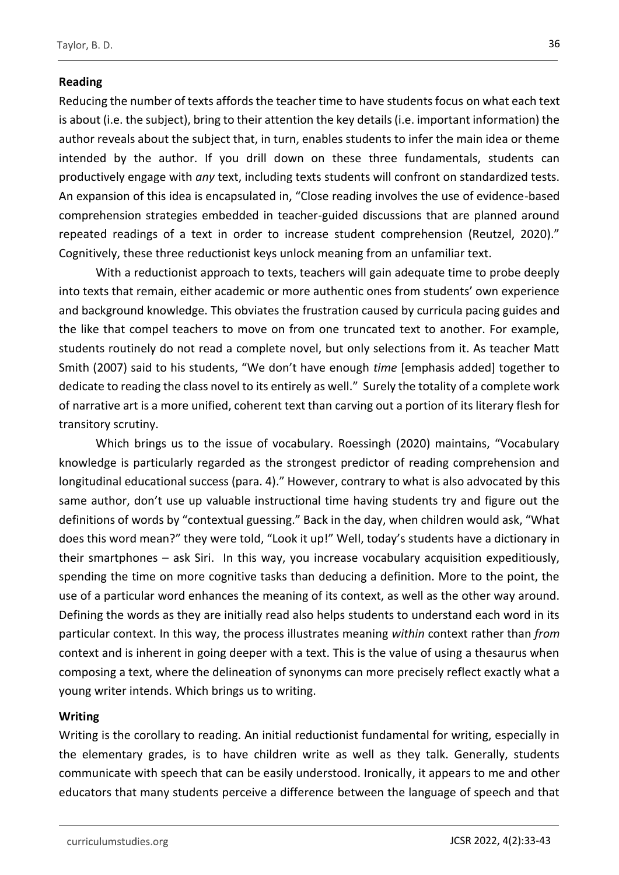## **Reading**

Reducing the number of texts affords the teacher time to have students focus on what each text is about (i.e. the subject), bring to their attention the key details (i.e. important information) the author reveals about the subject that, in turn, enables students to infer the main idea or theme intended by the author. If you drill down on these three fundamentals, students can productively engage with *any* text, including texts students will confront on standardized tests. An expansion of this idea is encapsulated in, "Close reading involves the use of evidence-based comprehension strategies embedded in teacher-guided discussions that are planned around repeated readings of a text in order to increase student comprehension (Reutzel, 2020)." Cognitively, these three reductionist keys unlock meaning from an unfamiliar text.

With a reductionist approach to texts, teachers will gain adequate time to probe deeply into texts that remain, either academic or more authentic ones from students' own experience and background knowledge. This obviates the frustration caused by curricula pacing guides and the like that compel teachers to move on from one truncated text to another. For example, students routinely do not read a complete novel, but only selections from it. As teacher Matt Smith (2007) said to his students, "We don't have enough *time* [emphasis added] together to dedicate to reading the class novel to its entirely as well." Surely the totality of a complete work of narrative art is a more unified, coherent text than carving out a portion of its literary flesh for transitory scrutiny.

Which brings us to the issue of vocabulary. Roessingh (2020) maintains, "Vocabulary knowledge is particularly regarded as the strongest predictor of reading comprehension and longitudinal educational success (para. 4)." However, contrary to what is also advocated by this same author, don't use up valuable instructional time having students try and figure out the definitions of words by "contextual guessing." Back in the day, when children would ask, "What does this word mean?" they were told, "Look it up!" Well, today's students have a dictionary in their smartphones – ask Siri. In this way, you increase vocabulary acquisition expeditiously, spending the time on more cognitive tasks than deducing a definition. More to the point, the use of a particular word enhances the meaning of its context, as well as the other way around. Defining the words as they are initially read also helps students to understand each word in its particular context. In this way, the process illustrates meaning *within* context rather than *from* context and is inherent in going deeper with a text. This is the value of using a thesaurus when composing a text, where the delineation of synonyms can more precisely reflect exactly what a young writer intends. Which brings us to writing.

### **Writing**

Writing is the corollary to reading. An initial reductionist fundamental for writing, especially in the elementary grades, is to have children write as well as they talk. Generally, students communicate with speech that can be easily understood. Ironically, it appears to me and other educators that many students perceive a difference between the language of speech and that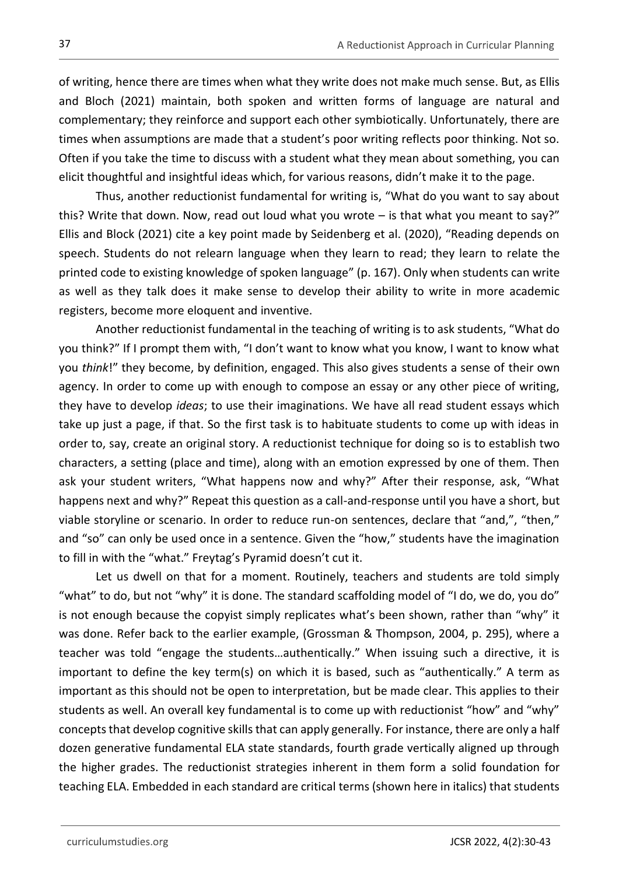of writing, hence there are times when what they write does not make much sense. But, as Ellis and Bloch (2021) maintain, both spoken and written forms of language are natural and complementary; they reinforce and support each other symbiotically. Unfortunately, there are times when assumptions are made that a student's poor writing reflects poor thinking. Not so. Often if you take the time to discuss with a student what they mean about something, you can elicit thoughtful and insightful ideas which, for various reasons, didn't make it to the page.

Thus, another reductionist fundamental for writing is, "What do you want to say about this? Write that down. Now, read out loud what you wrote – is that what you meant to say?" Ellis and Block (2021) cite a key point made by Seidenberg et al. (2020), "Reading depends on speech. Students do not relearn language when they learn to read; they learn to relate the printed code to existing knowledge of spoken language" (p. 167). Only when students can write as well as they talk does it make sense to develop their ability to write in more academic registers, become more eloquent and inventive.

Another reductionist fundamental in the teaching of writing is to ask students, "What do you think?" If I prompt them with, "I don't want to know what you know, I want to know what you *think*!" they become, by definition, engaged. This also gives students a sense of their own agency. In order to come up with enough to compose an essay or any other piece of writing, they have to develop *ideas*; to use their imaginations. We have all read student essays which take up just a page, if that. So the first task is to habituate students to come up with ideas in order to, say, create an original story. A reductionist technique for doing so is to establish two characters, a setting (place and time), along with an emotion expressed by one of them. Then ask your student writers, "What happens now and why?" After their response, ask, "What happens next and why?" Repeat this question as a call-and-response until you have a short, but viable storyline or scenario. In order to reduce run-on sentences, declare that "and,", "then," and "so" can only be used once in a sentence. Given the "how," students have the imagination to fill in with the "what." Freytag's Pyramid doesn't cut it.

Let us dwell on that for a moment. Routinely, teachers and students are told simply "what" to do, but not "why" it is done. The standard scaffolding model of "I do, we do, you do" is not enough because the copyist simply replicates what's been shown, rather than "why" it was done. Refer back to the earlier example, (Grossman & Thompson, 2004, p. 295), where a teacher was told "engage the students…authentically." When issuing such a directive, it is important to define the key term(s) on which it is based, such as "authentically." A term as important as this should not be open to interpretation, but be made clear. This applies to their students as well. An overall key fundamental is to come up with reductionist "how" and "why" concepts that develop cognitive skills that can apply generally. For instance, there are only a half dozen generative fundamental ELA state standards, fourth grade vertically aligned up through the higher grades. The reductionist strategies inherent in them form a solid foundation for teaching ELA. Embedded in each standard are critical terms (shown here in italics) that students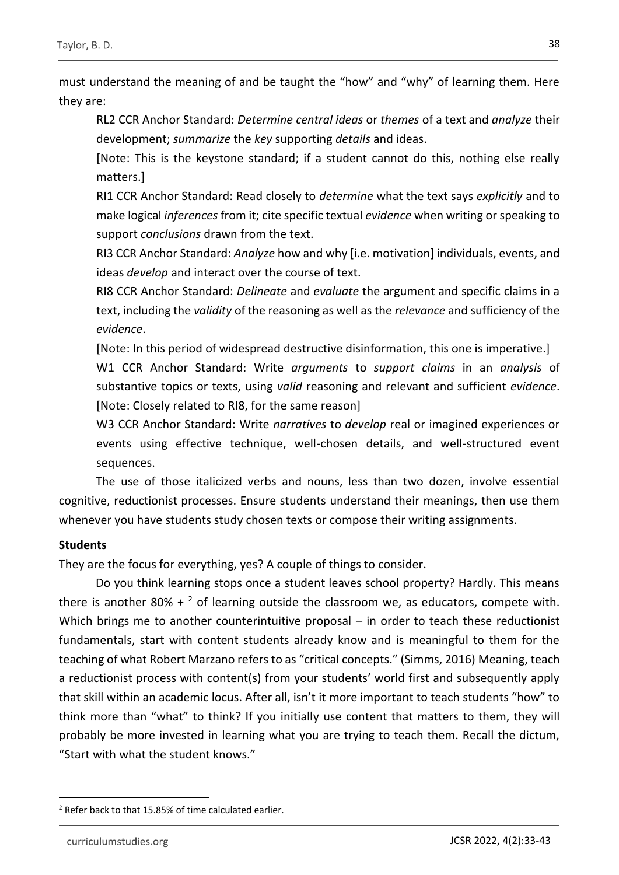must understand the meaning of and be taught the "how" and "why" of learning them. Here they are:

RL2 CCR Anchor Standard: *Determine central ideas* or *themes* of a text and *analyze* their development; *summarize* the *key* supporting *details* and ideas.

[Note: This is the keystone standard; if a student cannot do this, nothing else really matters.]

RI1 CCR Anchor Standard: Read closely to *determine* what the text says *explicitly* and to make logical *inferences* from it; cite specific textual *evidence* when writing or speaking to support *conclusions* drawn from the text.

RI3 CCR Anchor Standard: *Analyze* how and why [i.e. motivation] individuals, events, and ideas *develop* and interact over the course of text.

RI8 CCR Anchor Standard: *Delineate* and *evaluate* the argument and specific claims in a text, including the *validity* of the reasoning as well as the *relevance* and sufficiency of the *evidence*.

[Note: In this period of widespread destructive disinformation, this one is imperative.] W1 CCR Anchor Standard: Write *arguments* to *support claims* in an *analysis* of substantive topics or texts, using *valid* reasoning and relevant and sufficient *evidence*. [Note: Closely related to RI8, for the same reason]

W3 CCR Anchor Standard: Write *narratives* to *develop* real or imagined experiences or events using effective technique, well-chosen details, and well-structured event sequences.

The use of those italicized verbs and nouns, less than two dozen, involve essential cognitive, reductionist processes. Ensure students understand their meanings, then use them whenever you have students study chosen texts or compose their writing assignments.

## **Students**

They are the focus for everything, yes? A couple of things to consider.

Do you think learning stops once a student leaves school property? Hardly. This means there is another 80% +  $2$  of learning outside the classroom we, as educators, compete with. Which brings me to another counterintuitive proposal – in order to teach these reductionist fundamentals, start with content students already know and is meaningful to them for the teaching of what Robert Marzano refers to as "critical concepts." (Simms, 2016) Meaning, teach a reductionist process with content(s) from your students' world first and subsequently apply that skill within an academic locus. After all, isn't it more important to teach students "how" to think more than "what" to think? If you initially use content that matters to them, they will probably be more invested in learning what you are trying to teach them. Recall the dictum, "Start with what the student knows."

<sup>&</sup>lt;sup>2</sup> Refer back to that 15.85% of time calculated earlier.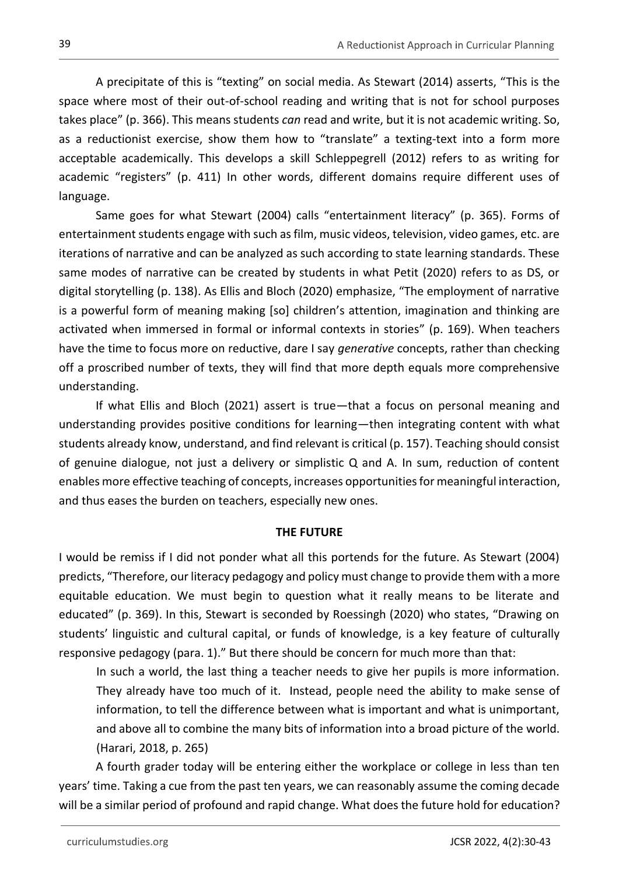A precipitate of this is "texting" on social media. As Stewart (2014) asserts, "This is the space where most of their out-of-school reading and writing that is not for school purposes takes place" (p. 366). This means students *can* read and write, but it is not academic writing. So, as a reductionist exercise, show them how to "translate" a texting-text into a form more acceptable academically. This develops a skill Schleppegrell (2012) refers to as writing for academic "registers" (p. 411) In other words, different domains require different uses of language.

Same goes for what Stewart (2004) calls "entertainment literacy" (p. 365). Forms of entertainment students engage with such as film, music videos, television, video games, etc. are iterations of narrative and can be analyzed as such according to state learning standards. These same modes of narrative can be created by students in what Petit (2020) refers to as DS, or digital storytelling (p. 138). As Ellis and Bloch (2020) emphasize, "The employment of narrative is a powerful form of meaning making [so] children's attention, imagination and thinking are activated when immersed in formal or informal contexts in stories" (p. 169). When teachers have the time to focus more on reductive, dare I say *generative* concepts, rather than checking off a proscribed number of texts, they will find that more depth equals more comprehensive understanding.

If what Ellis and Bloch (2021) assert is true—that a focus on personal meaning and understanding provides positive conditions for learning—then integrating content with what students already know, understand, and find relevant is critical (p. 157). Teaching should consist of genuine dialogue, not just a delivery or simplistic Q and A. In sum, reduction of content enables more effective teaching of concepts, increases opportunities for meaningful interaction, and thus eases the burden on teachers, especially new ones.

### **THE FUTURE**

I would be remiss if I did not ponder what all this portends for the future. As Stewart (2004) predicts, "Therefore, our literacy pedagogy and policy must change to provide them with a more equitable education. We must begin to question what it really means to be literate and educated" (p. 369). In this, Stewart is seconded by Roessingh (2020) who states, "Drawing on students' linguistic and cultural capital, or funds of knowledge, is a key feature of culturally responsive pedagogy (para. 1)." But there should be concern for much more than that:

In such a world, the last thing a teacher needs to give her pupils is more information. They already have too much of it. Instead, people need the ability to make sense of information, to tell the difference between what is important and what is unimportant, and above all to combine the many bits of information into a broad picture of the world. (Harari, 2018, p. 265)

A fourth grader today will be entering either the workplace or college in less than ten years' time. Taking a cue from the past ten years, we can reasonably assume the coming decade will be a similar period of profound and rapid change. What does the future hold for education?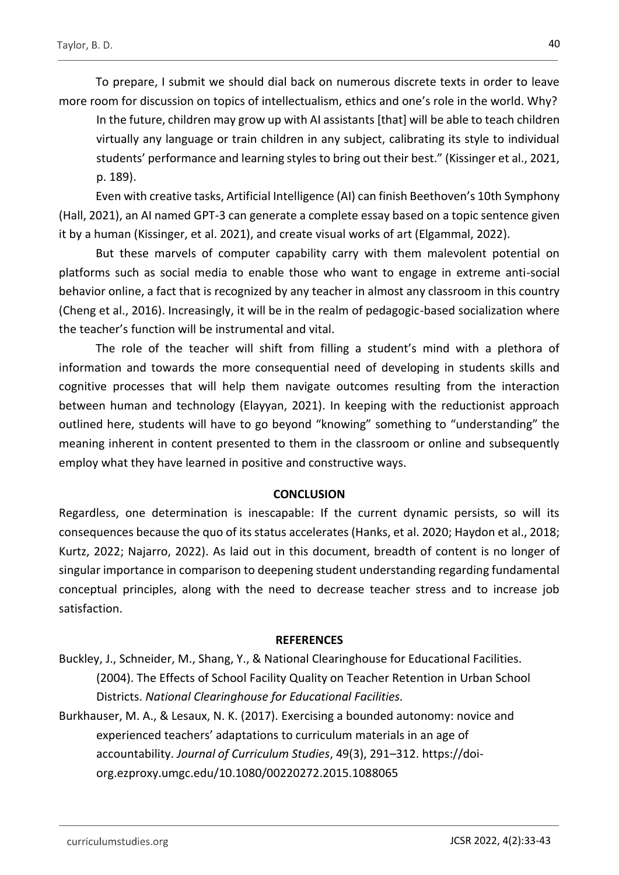To prepare, I submit we should dial back on numerous discrete texts in order to leave more room for discussion on topics of intellectualism, ethics and one's role in the world. Why?

In the future, children may grow up with AI assistants [that] will be able to teach children virtually any language or train children in any subject, calibrating its style to individual students' performance and learning styles to bring out their best." (Kissinger et al., 2021, p. 189).

Even with creative tasks, Artificial Intelligence (AI) can finish Beethoven's 10th Symphony (Hall, 2021), an AI named GPT-3 can generate a complete essay based on a topic sentence given it by a human (Kissinger, et al. 2021), and create visual works of art (Elgammal, 2022).

But these marvels of computer capability carry with them malevolent potential on platforms such as social media to enable those who want to engage in extreme anti-social behavior online, a fact that is recognized by any teacher in almost any classroom in this country (Cheng et al., 2016). Increasingly, it will be in the realm of pedagogic-based socialization where the teacher's function will be instrumental and vital.

The role of the teacher will shift from filling a student's mind with a plethora of information and towards the more consequential need of developing in students skills and cognitive processes that will help them navigate outcomes resulting from the interaction between human and technology (Elayyan, 2021). In keeping with the reductionist approach outlined here, students will have to go beyond "knowing" something to "understanding" the meaning inherent in content presented to them in the classroom or online and subsequently employ what they have learned in positive and constructive ways.

#### **CONCLUSION**

Regardless, one determination is inescapable: If the current dynamic persists, so will its consequences because the quo of its status accelerates (Hanks, et al. 2020; Haydon et al., 2018; Kurtz, 2022; Najarro, 2022). As laid out in this document, breadth of content is no longer of singular importance in comparison to deepening student understanding regarding fundamental conceptual principles, along with the need to decrease teacher stress and to increase job satisfaction.

#### **REFERENCES**

- Buckley, J., Schneider, M., Shang, Y., & National Clearinghouse for Educational Facilities. (2004). The Effects of School Facility Quality on Teacher Retention in Urban School Districts. *National Clearinghouse for Educational Facilities.*
- Burkhauser, M. A., & Lesaux, N. K. (2017). Exercising a bounded autonomy: novice and experienced teachers' adaptations to curriculum materials in an age of accountability. *Journal of Curriculum Studies*, 49(3), 291–312. https://doiorg.ezproxy.umgc.edu/10.1080/00220272.2015.1088065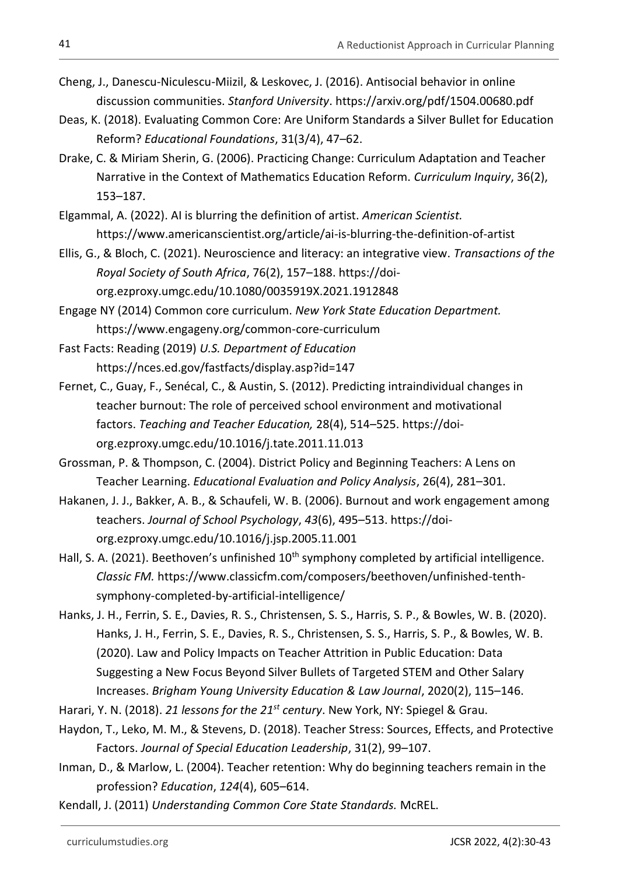- Cheng, J., Danescu-Niculescu-Miizil, & Leskovec, J. (2016). Antisocial behavior in online discussion communities. *Stanford University*.<https://arxiv.org/pdf/1504.00680.pdf>
- Deas, K. (2018). Evaluating Common Core: Are Uniform Standards a Silver Bullet for Education Reform? *Educational Foundations*, 31(3/4), 47–62.
- Drake, C. & Miriam Sherin, G. (2006). Practicing Change: Curriculum Adaptation and Teacher Narrative in the Context of Mathematics Education Reform. *Curriculum Inquiry*, 36(2), 153–187.
- Elgammal, A. (2022). AI is blurring the definition of artist. *American Scientist.*  https://www.americanscientist.org/article/ai-is-blurring-the-definition-of-artist
- Ellis, G., & Bloch, C. (2021). Neuroscience and literacy: an integrative view. *Transactions of the Royal Society of South Africa*, 76(2), 157–188. https://doiorg.ezproxy.umgc.edu/10.1080/0035919X.2021.1912848
- Engage NY (2014) Common core curriculum. *New York State Education Department.*  https://www.engageny.org/common-core-curriculum
- Fast Facts: Reading (2019) *U.S. Department of Education* https://nces.ed.gov/fastfacts/display.asp?id=147
- Fernet, C., Guay, F., Senécal, C., & Austin, S. (2012). Predicting intraindividual changes in teacher burnout: The role of perceived school environment and motivational factors. *Teaching and Teacher Education,* 28(4), 514–525. https://doiorg.ezproxy.umgc.edu/10.1016/j.tate.2011.11.013
- Grossman, P. & Thompson, C. (2004). District Policy and Beginning Teachers: A Lens on Teacher Learning. *Educational Evaluation and Policy Analysis*, 26(4), 281–301.
- Hakanen, J. J., Bakker, A. B., & Schaufeli, W. B. (2006). Burnout and work engagement among teachers. *Journal of School Psychology*, *43*(6), 495–513. https://doiorg.ezproxy.umgc.edu/10.1016/j.jsp.2005.11.001
- Hall, S. A. (2021). Beethoven's unfinished  $10<sup>th</sup>$  symphony completed by artificial intelligence. *Classic FM.* https://www.classicfm.com/composers/beethoven/unfinished-tenthsymphony-completed-by-artificial-intelligence/
- Hanks, J. H., Ferrin, S. E., Davies, R. S., Christensen, S. S., Harris, S. P., & Bowles, W. B. (2020). Hanks, J. H., Ferrin, S. E., Davies, R. S., Christensen, S. S., Harris, S. P., & Bowles, W. B. (2020). Law and Policy Impacts on Teacher Attrition in Public Education: Data Suggesting a New Focus Beyond Silver Bullets of Targeted STEM and Other Salary Increases. *Brigham Young University Education & Law Journal*, 2020(2), 115–146.
- Harari, Y. N. (2018). *21 lessons for the 21st century*. New York, NY: Spiegel & Grau.
- Haydon, T., Leko, M. M., & Stevens, D. (2018). Teacher Stress: Sources, Effects, and Protective Factors. *Journal of Special Education Leadership*, 31(2), 99–107.
- Inman, D., & Marlow, L. (2004). Teacher retention: Why do beginning teachers remain in the profession? *Education*, *124*(4), 605–614.
- Kendall, J. (2011) *Understanding Common Core State Standards.* McREL.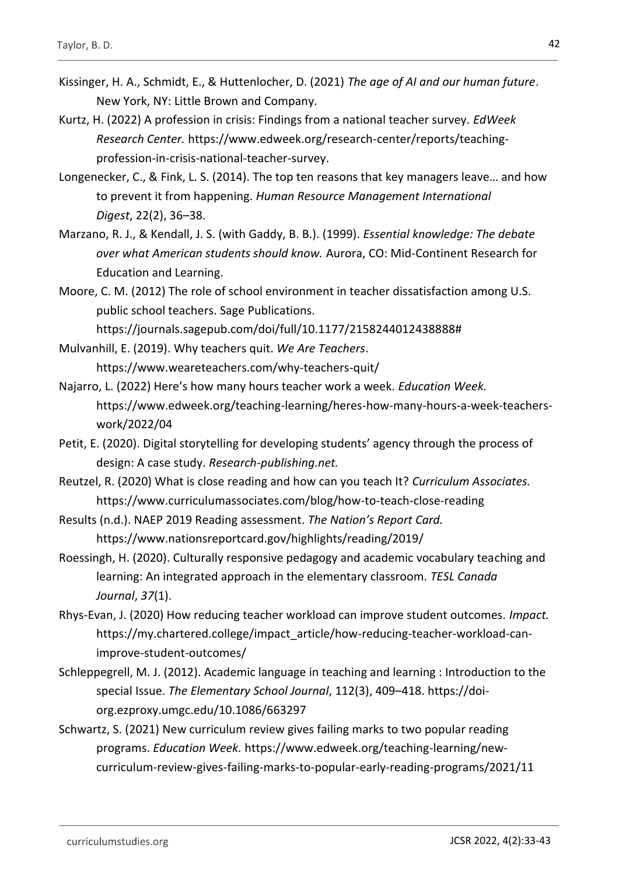- Kissinger, H. A., Schmidt, E., & Huttenlocher, D. (2021) *The age of AI and our human future*. New York, NY: Little Brown and Company.
- Kurtz, H. (2022) A profession in crisis: Findings from a national teacher survey. *EdWeek Research Center.* https://www.edweek.org/research-center/reports/teachingprofession-in-crisis-national-teacher-survey.
- Longenecker, C., & Fink, L. S. (2014). The top ten reasons that key managers leave… and how to prevent it from happening. *Human Resource Management International Digest*, 22(2), 36–38.
- Marzano, R. J., & Kendall, J. S. (with Gaddy, B. B.). (1999). *Essential knowledge: The debate over what American students should know.* Aurora, CO: Mid-Continent Research for Education and Learning.
- Moore, C. M. (2012) The role of school environment in teacher dissatisfaction among U.S. public school teachers. Sage Publications.

https://journals.sagepub.com/doi/full/10.1177/2158244012438888#

- Mulvanhill, E. (2019). Why teachers quit. *We Are Teachers*. <https://www.weareteachers.com/why-teachers-quit/>
- Najarro, L. (2022) Here's how many hours teacher work a week. *Education Week.*  https://www.edweek.org/teaching-learning/heres-how-many-hours-a-week-teacherswork/2022/04
- Petit, E. (2020). Digital storytelling for developing students' agency through the process of design: A case study. *Research-publishing.net.*
- Reutzel, R. (2020) What is close reading and how can you teach It? *Curriculum Associates.* https://www.curriculumassociates.com/blog/how-to-teach-close-reading
- Results (n.d.). NAEP 2019 Reading assessment. *The Nation's Report Card.* https://www.nationsreportcard.gov/highlights/reading/2019/
- Roessingh, H. (2020). Culturally responsive pedagogy and academic vocabulary teaching and learning: An integrated approach in the elementary classroom. *TESL Canada Journal*, *37*(1).
- Rhys-Evan, J. (2020) How reducing teacher workload can improve student outcomes. *Impact.*  https://my.chartered.college/impact\_article/how-reducing-teacher-workload-canimprove-student-outcomes/
- Schleppegrell, M. J. (2012). Academic language in teaching and learning : Introduction to the special Issue. *The Elementary School Journal*, 112(3), 409–418. https://doiorg.ezproxy.umgc.edu/10.1086/663297
- Schwartz, S. (2021) New curriculum review gives failing marks to two popular reading programs. *Education Week.* https://www.edweek.org/teaching-learning/newcurriculum-review-gives-failing-marks-to-popular-early-reading-programs/2021/11